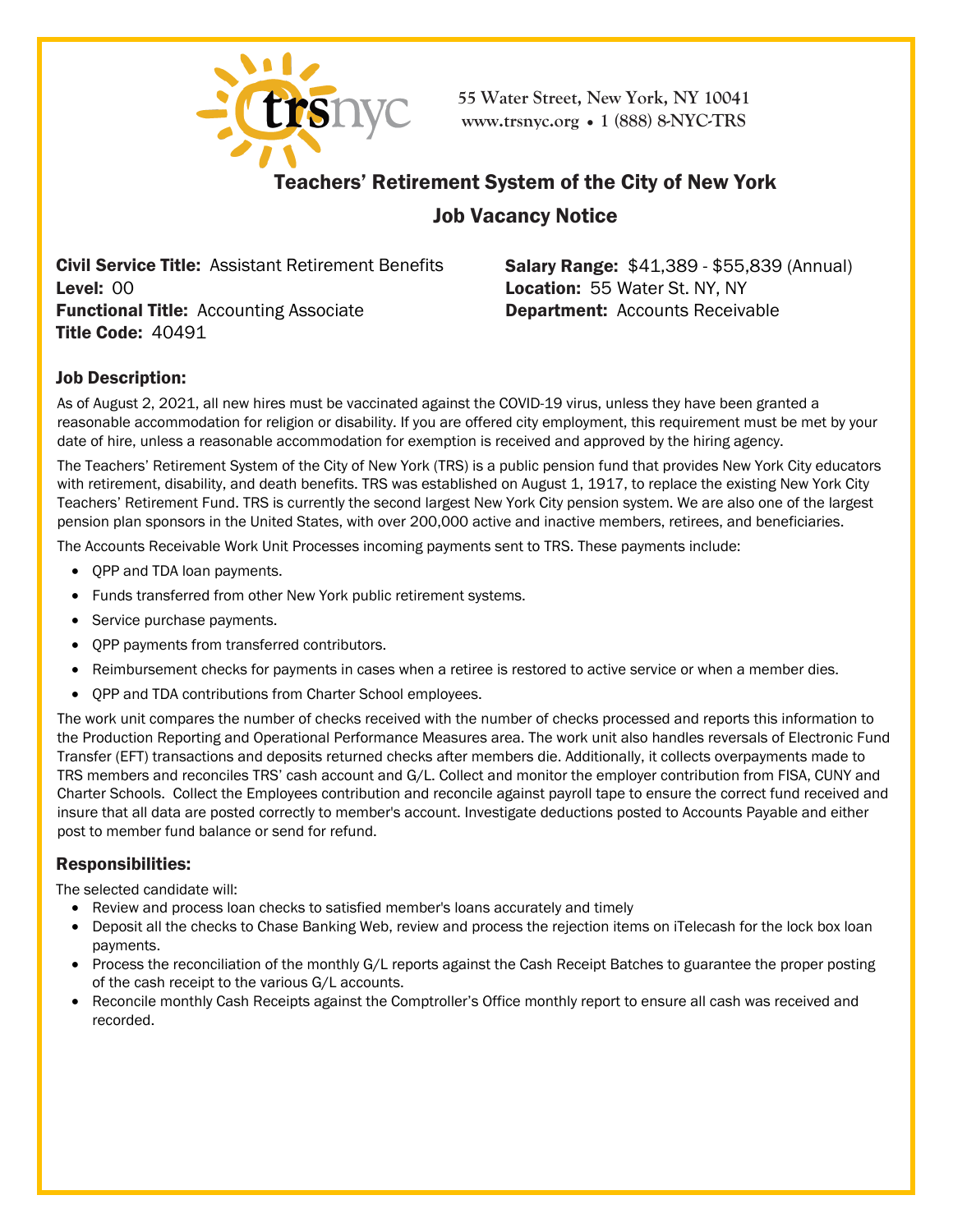

**55 Water Street, New York, NY 10041 [www.trsnyc](http://www.trsnyc.org/).org • 1 (888) 8-NYC-TRS**

# Teachers' Retirement System of the City of New York

## Job Vacancy Notice

Civil Service Title: Assistant Retirement Benefits Level: 00 **Functional Title: Accounting Associate** Title Code: 40491

Salary Range: \$41,389 - \$55,839 (Annual) Location: 55 Water St. NY, NY Department: Accounts Receivable

## Job Description:

As of August 2, 2021, all new hires must be vaccinated against the COVID-19 virus, unless they have been granted a reasonable accommodation for religion or disability. If you are offered city employment, this requirement must be met by your date of hire, unless a reasonable accommodation for exemption is received and approved by the hiring agency.

The Teachers' Retirement System of the City of New York (TRS) is a public pension fund that provides New York City educators with retirement, disability, and death benefits. TRS was established on August 1, 1917, to replace the existing New York City Teachers' Retirement Fund. TRS is currently the second largest New York City pension system. We are also one of the largest pension plan sponsors in the United States, with over 200,000 active and inactive members, retirees, and beneficiaries.

The Accounts Receivable Work Unit Processes incoming payments sent to TRS. These payments include:

- QPP and TDA loan payments.
- Funds transferred from other New York public retirement systems.
- Service purchase payments.
- QPP payments from transferred contributors.
- Reimbursement checks for payments in cases when a retiree is restored to active service or when a member dies.
- QPP and TDA contributions from Charter School employees.

The work unit compares the number of checks received with the number of checks processed and reports this information to the Production Reporting and Operational Performance Measures area. The work unit also handles reversals of Electronic Fund Transfer (EFT) transactions and deposits returned checks after members die. Additionally, it collects overpayments made to TRS members and reconciles TRS' cash account and G/L. Collect and monitor the employer contribution from FISA, CUNY and Charter Schools. Collect the Employees contribution and reconcile against payroll tape to ensure the correct fund received and insure that all data are posted correctly to member's account. Investigate deductions posted to Accounts Payable and either post to member fund balance or send for refund.

## Responsibilities:

The selected candidate will:

- Review and process loan checks to satisfied member's loans accurately and timely
- Deposit all the checks to Chase Banking Web, review and process the rejection items on iTelecash for the lock box loan payments.
- Process the reconciliation of the monthly G/L reports against the Cash Receipt Batches to guarantee the proper posting of the cash receipt to the various G/L accounts.
- Reconcile monthly Cash Receipts against the Comptroller's Office monthly report to ensure all cash was received and recorded.